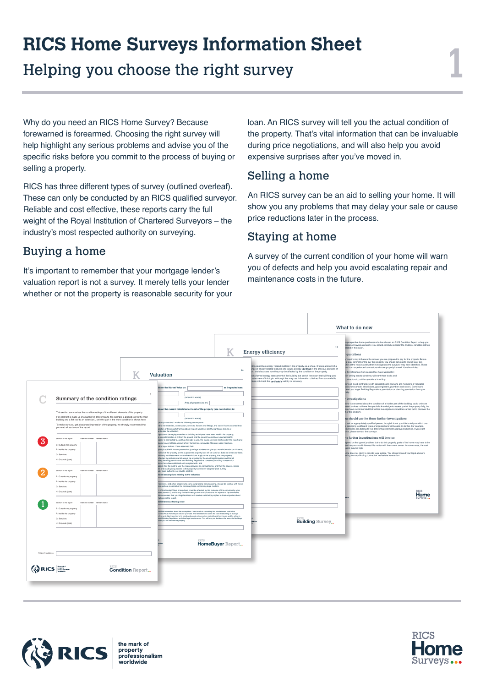# **RICS Home Surveys Information Sheet**

Helping you choose the right survey

1

Why do you need an RICS Home Survey? Because forewarned is forearmed. Choosing the right survey will help highlight any serious problems and advise you of the specific risks before you commit to the process of buying or selling a property.

RICS has three different types of survey (outlined overleaf). These can only be conducted by an RICS qualified surveyor. Reliable and cost effective, these reports carry the full weight of the Royal Institution of Chartered Surveyors – the industry's most respected authority on surveying.

### Buying a home

It's important to remember that your mortgage lender's valuation report is not a survey. It merely tells your lender whether or not the property is reasonable security for your loan. An RICS survey will tell you the actual condition of the property. That's vital information that can be invaluable during price negotiations, and will also help you avoid expensive surprises after you've moved in.

### Selling a home

An RICS survey can be an aid to selling your home. It will show you any problems that may delay your sale or cause price reductions later in the process.

#### Staying at home

A survey of the current condition of your home will warn you of defects and help you avoid escalating repair and maintenance costs in the future.

|                  |                                                                                                                                                                                                                                                                                                                                                                                         |                         |                                                                                                                                                                                                                                                                                                                                                                                                                                                                                                                                                                                                                                                                                                                                                                                                                                                                                                                                                                                                                                                                                                                 |                         | Energy efficiency                                                                                                                                                                                                                                                                                                                                                                                                                                                                                                    | 15              | What to do now<br>a prospective home purchaser who has chosen an RICS Condition Report to help you<br>cision on buying a property, you should carefully consider the findings, condition ratings<br>stated in the report<br>quotations                                                                                                                                                                                                                                                                                                                                                                                                                                                  |
|------------------|-----------------------------------------------------------------------------------------------------------------------------------------------------------------------------------------------------------------------------------------------------------------------------------------------------------------------------------------------------------------------------------------|-------------------------|-----------------------------------------------------------------------------------------------------------------------------------------------------------------------------------------------------------------------------------------------------------------------------------------------------------------------------------------------------------------------------------------------------------------------------------------------------------------------------------------------------------------------------------------------------------------------------------------------------------------------------------------------------------------------------------------------------------------------------------------------------------------------------------------------------------------------------------------------------------------------------------------------------------------------------------------------------------------------------------------------------------------------------------------------------------------------------------------------------------------|-------------------------|----------------------------------------------------------------------------------------------------------------------------------------------------------------------------------------------------------------------------------------------------------------------------------------------------------------------------------------------------------------------------------------------------------------------------------------------------------------------------------------------------------------------|-----------------|-----------------------------------------------------------------------------------------------------------------------------------------------------------------------------------------------------------------------------------------------------------------------------------------------------------------------------------------------------------------------------------------------------------------------------------------------------------------------------------------------------------------------------------------------------------------------------------------------------------------------------------------------------------------------------------------|
|                  |                                                                                                                                                                                                                                                                                                                                                                                         |                         | Valuation<br>sinion the Market Value on                                                                                                                                                                                                                                                                                                                                                                                                                                                                                                                                                                                                                                                                                                                                                                                                                                                                                                                                                                                                                                                                         | 14<br>as inspected was: | tion describes energy related matters in the property as a whole. It takes account of a<br>inge of energy related features and issues already identified in the previous sections of<br>xt, and discusses how they may be affected by the condition of the property.<br>lot a formal energy assessment of the building but part of the report that will help you<br>bader view of this topic. Although this may use information obtained from an available<br>does not check the certificate's validity or accuracy. |                 | f repairs may influence the amount you are prepared to pay for the property. Before<br>a legal commitment to buy the property, you should get reports and at least two<br>for all the repairs and further investigations the surveyor may have identified. These<br>the from experienced contractors who are properly insured. You should also:<br>a for references from people they have worked for:<br>ain writing exactly what you will want them to do; and<br>contractors to put the quotations in writing.<br>airs will need contractors with specialist skills and who are members of requiated<br>ons (for example, electricians, gas engineers, plumbers and so on). Some work |
|                  | Summary of the condition ratings                                                                                                                                                                                                                                                                                                                                                        | $\mathcal{B}$           | (amount in words)<br>Area of property (sq m)                                                                                                                                                                                                                                                                                                                                                                                                                                                                                                                                                                                                                                                                                                                                                                                                                                                                                                                                                                                                                                                                    |                         |                                                                                                                                                                                                                                                                                                                                                                                                                                                                                                                      |                 | need you to get Building Regulations permission or planning permission from your<br>r investigations<br>eyer is concerned about the condition of a hidden part of the building, could only see                                                                                                                                                                                                                                                                                                                                                                                                                                                                                          |
|                  | This section summarises the condition ratings of the different elements of the property<br>If an element is made up of a number of different parts (for example, a pitched roof to the main<br>building and a flat roof to an extension), only the part in the worst condition is shown here.<br>To make sure you get a balanced impression of the property, we strongly recommend that |                         | sinion the current reinstatement cost of the property (see note below) is:<br>(amount in words)<br>at my valuation, I made the following assumptions.<br>ind to the materials, construction, services, fixtures and fittings, and so on I have assumed that:                                                                                                                                                                                                                                                                                                                                                                                                                                                                                                                                                                                                                                                                                                                                                                                                                                                    |                         |                                                                                                                                                                                                                                                                                                                                                                                                                                                                                                                      |                 | lefect or does not have the specialist knowledge to assess part of the property fully, the<br>hay have recommended that further investigations should be carried out to discover the<br>t of the problem.<br>au should use for these further investigations<br>diask an appropriately qualified person, though it is not possible to tell you which one.                                                                                                                                                                                                                                                                                                                                |
|                  | you read all sections of the report.<br>Section of the report<br>Element number Element name<br>E: Outside the property<br>F: Inside the property<br>G: Services<br>H: Grounds (part)                                                                                                                                                                                                   |                         | paction of those parts that I could not inspect would not identify significant defects or<br>se to alter the valuation:<br>ngerous or damaging materials or building techniques have been used in the property:<br>is no contamination in or from the ground, and the ground has not been used as landfil:<br>goerty is connected to, and has the right to use, the mains services mentioned in the report; and<br>justion does not take account of any furnishings, removable fittings or sales incentives.<br>inf to longi matters I have assumed that<br>sperty is sold with 'vacant possession' (your legal advisers can give you more information on this term);<br>indition of the property, or the purpose the property is or will be used for, does not break any laws;<br>rticularly troublesome or unusual restrictions apply to the property, that the property<br>affected by problems which would be revealed by the usual legal inquiries and that all<br>sary planning permissions and Building Regulations consents (including consents for<br>tions) have been obtained and complied with; and |                         |                                                                                                                                                                                                                                                                                                                                                                                                                                                                                                                      |                 | s belonging to different types of organisations will be able to do this. For example,<br>lectricians can belong to five different government-approved schemes. If you want<br>vice, please contact the surveyor.<br>he further investigations will involve<br>spend on the type of problem, but to do this properly, parts of the home may have to be<br>and so you should discuss this matter with the current owner. In some cases, the cost<br>ation may be high.<br>ince does not claim to provide legal advice. You should consult your legal advisers<br>lering into any binding contract or real estate transaction.                                                             |
|                  | Section of the report<br>Element number Element name<br>E: Outside the property<br>F: Inside the property<br>G: Services<br>H: Grounds (part)                                                                                                                                                                                                                                           |                         | operty has the right to use the mains services on normal terms, and that the sewers, mains<br>es and roads giving access to the property have been 'adopted' (that is, they<br>der local-authority, not private, control).<br>tional assumptions relating to the valuation<br>I advisers, and other people who carry out property conveyancing, should be familiar with these<br>ons and are responsible for checking those concerning legal matters<br>in of the Market Value shown here could be affected by the outcome of the enquiries by your<br>sers (section i) and/or any further investigations and quotations for repairs or replacements.<br>ition assumes that your legal advisers will receive satisfactory replies to their enquiries about<br>ptions in the report                                                                                                                                                                                                                                                                                                                              |                         |                                                                                                                                                                                                                                                                                                                                                                                                                                                                                                                      |                 | Home                                                                                                                                                                                                                                                                                                                                                                                                                                                                                                                                                                                                                                                                                    |
|                  | Section of the report<br>Element number Element name<br>E: Outside the property<br>F: Inside the property<br>G: Services<br>H: Grounds (part)                                                                                                                                                                                                                                           |                         | siderations affecting value<br>an find information about the assumptions I have made in calculating this reinstatement cost in the<br>not the RICS HomeBuyer Service' provided. The reinstatement cost is the cost of rebuilding an average<br>a type and style inspected to its existing standard using modern materials and techniques, and by acting in<br>ment Building Regulations and other legal requirements. This will help you decide on the amount of buildings<br>ar you will need for the property.                                                                                                                                                                                                                                                                                                                                                                                                                                                                                                                                                                                                |                         |                                                                                                                                                                                                                                                                                                                                                                                                                                                                                                                      | Building Survey |                                                                                                                                                                                                                                                                                                                                                                                                                                                                                                                                                                                                                                                                                         |
| Property address |                                                                                                                                                                                                                                                                                                                                                                                         |                         |                                                                                                                                                                                                                                                                                                                                                                                                                                                                                                                                                                                                                                                                                                                                                                                                                                                                                                                                                                                                                                                                                                                 | HomeBuyer Report        |                                                                                                                                                                                                                                                                                                                                                                                                                                                                                                                      |                 |                                                                                                                                                                                                                                                                                                                                                                                                                                                                                                                                                                                                                                                                                         |
|                  | <b>QRICS</b>                                                                                                                                                                                                                                                                                                                                                                            | <b>Condition Report</b> |                                                                                                                                                                                                                                                                                                                                                                                                                                                                                                                                                                                                                                                                                                                                                                                                                                                                                                                                                                                                                                                                                                                 |                         |                                                                                                                                                                                                                                                                                                                                                                                                                                                                                                                      |                 |                                                                                                                                                                                                                                                                                                                                                                                                                                                                                                                                                                                                                                                                                         |



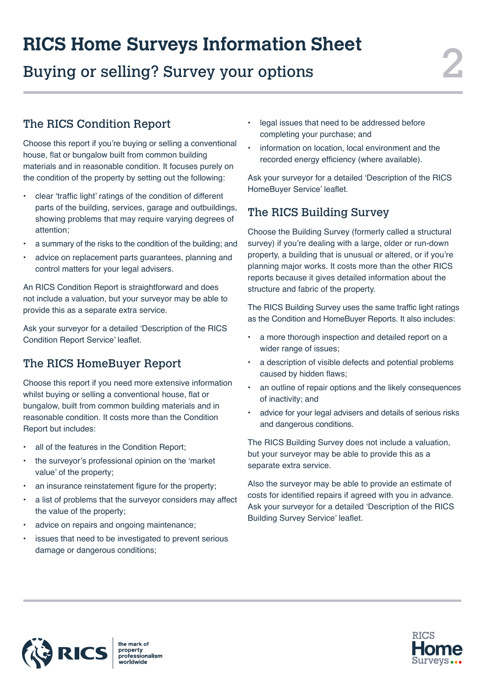# 2 **RICS Home Surveys Information Sheet**

Buying or selling? Survey your options

## The RICS Condition Report

Choose this report if you're buying or selling a conventional house, flat or bungalow built from common building materials and in reasonable condition. It focuses purely on the condition of the property by setting out the following:

- clear 'traffic light' ratings of the condition of different parts of the building, services, garage and outbuildings, showing problems that may require varying degrees of attention;
- a summary of the risks to the condition of the building; and
- advice on replacement parts guarantees, planning and control matters for your legal advisers.

An RICS Condition Report is straightforward and does not include a valuation, but your surveyor may be able to provide this as a separate extra service.

Ask your surveyor for a detailed 'Description of the RICS Condition Report Service' leaflet.

## The RICS HomeBuyer Report

Choose this report if you need more extensive information whilst buying or selling a conventional house, flat or bungalow, built from common building materials and in reasonable condition. It costs more than the Condition Report but includes:

- all of the features in the Condition Report;
- the surveyor's professional opinion on the 'market value' of the property;
- an insurance reinstatement figure for the property;
- a list of problems that the surveyor considers may affect the value of the property;
- advice on repairs and ongoing maintenance;
- issues that need to be investigated to prevent serious damage or dangerous conditions;
- legal issues that need to be addressed before completing your purchase; and
- information on location, local environment and the recorded energy efficiency (where available).

Ask your surveyor for a detailed 'Description of the RICS HomeBuyer Service' leaflet.

#### The RICS Building Survey

Choose the Building Survey (formerly called a structural survey) if you're dealing with a large, older or run-down property, a building that is unusual or altered, or if you're planning major works. It costs more than the other RICS reports because it gives detailed information about the structure and fabric of the property.

The RICS Building Survey uses the same traffic light ratings as the Condition and HomeBuyer Reports. It also includes:

- a more thorough inspection and detailed report on a wider range of issues;
- a description of visible defects and potential problems caused by hidden flaws;
- an outline of repair options and the likely consequences of inactivity; and
- advice for your legal advisers and details of serious risks and dangerous conditions.

The RICS Building Survey does not include a valuation, but your surveyor may be able to provide this as a separate extra service.

Also the surveyor may be able to provide an estimate of costs for identified repairs if agreed with you in advance. Ask your surveyor for a detailed 'Description of the RICS Building Survey Service' leaflet.